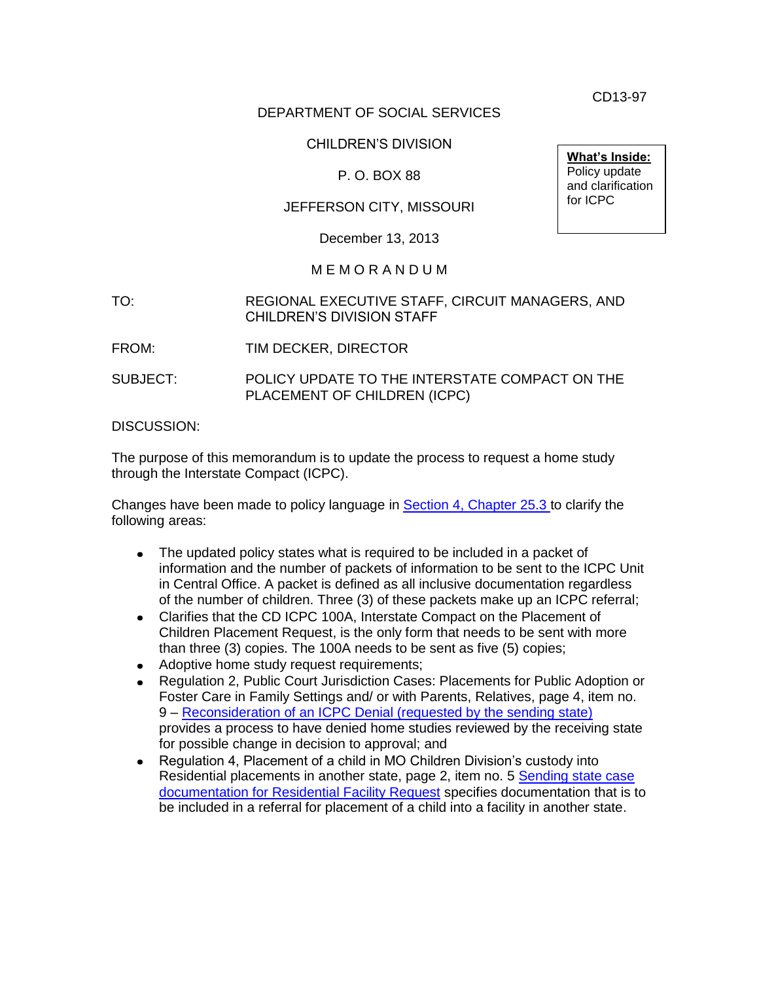CD13-97

#### DEPARTMENT OF SOCIAL SERVICES

## CHILDREN'S DIVISION

# P. O. BOX 88

## JEFFERSON CITY, MISSOURI

December 13, 2013

#### M E M O R A N D U M

#### TO: REGIONAL EXECUTIVE STAFF, CIRCUIT MANAGERS, AND CHILDREN'S DIVISION STAFF

- FROM: TIM DECKER, DIRECTOR
- SUBJECT: POLICY UPDATE TO THE INTERSTATE COMPACT ON THE PLACEMENT OF CHILDREN (ICPC)

DISCUSSION:

The purpose of this memorandum is to update the process to request a home study through the Interstate Compact (ICPC).

Changes have been made to policy language in **Section 4, Chapter 25.3** to clarify the following areas:

- The updated policy states what is required to be included in a packet of  $\bullet$ information and the number of packets of information to be sent to the ICPC Unit in Central Office. A packet is defined as all inclusive documentation regardless of the number of children. Three (3) of these packets make up an ICPC referral;
- Clarifies that the CD ICPC 100A, Interstate Compact on the Placement of  $\bullet$ Children Placement Request, is the only form that needs to be sent with more than three (3) copies. The 100A needs to be sent as five (5) copies;
- Adoptive home study request requirements;
- Regulation 2, Public Court Jurisdiction Cases: Placements for Public Adoption or Foster Care in Family Settings and/ or with Parents, Relatives, page 4, item no. 9 – [Reconsideration of an ICPC Denial \(requested by the sending state\)](http://www.aphsa.org/content/dam/AAICPC/PDF%20DOC/Home%20page/ICPCRegulation2-Sept2011.pdf) provides a process to have denied home studies reviewed by the receiving state for possible change in decision to approval; and
- Regulation 4, Placement of a child in MO Children Division's custody into  $\bullet$ Residential placements in another state, page 2, item no. 5 [Sending state case](http://www.aphsa.org/content/dam/AAICPC/PDF%20DOC/Home%20page/Regulation-4-2012.pdf)  [documentation for Residential Facility Request](http://www.aphsa.org/content/dam/AAICPC/PDF%20DOC/Home%20page/Regulation-4-2012.pdf) specifies documentation that is to be included in a referral for placement of a child into a facility in another state.

**What's Inside:** Policy update and clarification for ICPC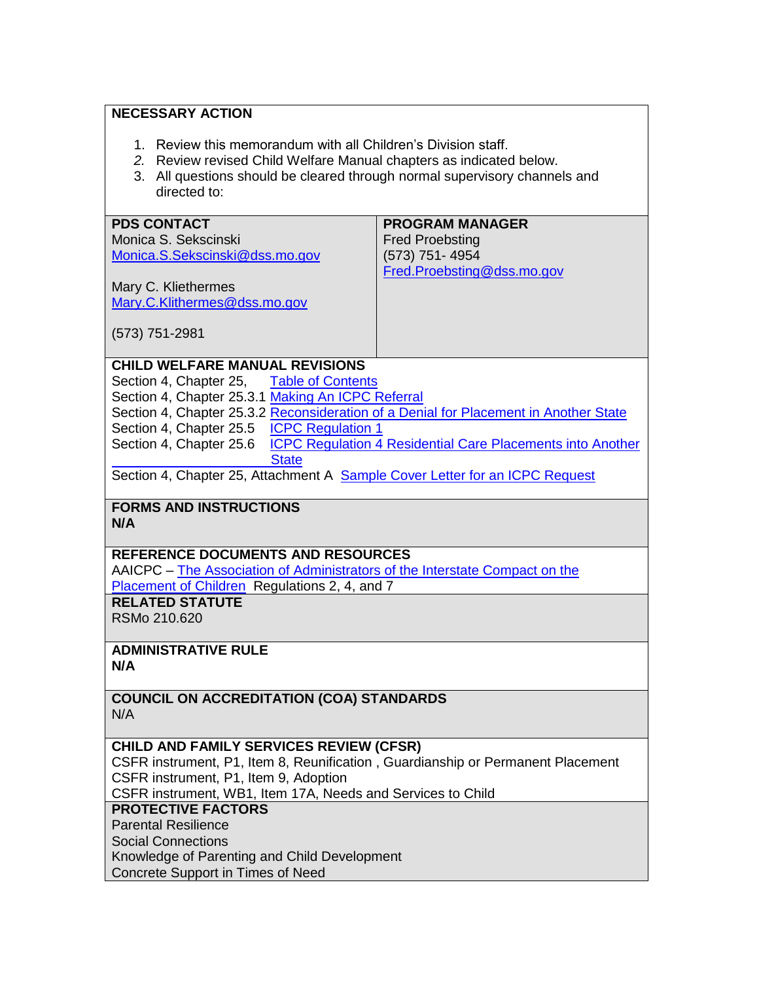# **NECESSARY ACTION**

**PDS CONTACT**

- 1. Review this memorandum with all Children's Division staff.
- *2.* Review revised Child Welfare Manual chapters as indicated below.
- 3. All questions should be cleared through normal supervisory channels and directed to:

**PROGRAM MANAGER**

| (573) 751-4954<br>Monica.S.Sekscinski@dss.mo.gov<br>Fred.Proebsting@dss.mo.gov<br>Mary C. Kliethermes<br>Mary.C.Klithermes@dss.mo.gov<br>$(573)$ 751-2981<br><b>CHILD WELFARE MANUAL REVISIONS</b><br>Section 4, Chapter 25, Table of Contents<br>Section 4, Chapter 25.3.1 Making An ICPC Referral<br>Section 4, Chapter 25.3.2 Reconsideration of a Denial for Placement in Another State<br>Section 4, Chapter 25.5 <b>ICPC Regulation 1</b><br>Section 4, Chapter 25.6<br><b>ICPC Regulation 4 Residential Care Placements into Another</b><br><b>State</b><br>Section 4, Chapter 25, Attachment A Sample Cover Letter for an ICPC Request<br><b>FORMS AND INSTRUCTIONS</b><br>N/A<br><b>REFERENCE DOCUMENTS AND RESOURCES</b><br>AAICPC - The Association of Administrators of the Interstate Compact on the<br>Placement of Children Regulations 2, 4, and 7<br><b>RELATED STATUTE</b><br>RSMo 210.620<br><b>ADMINISTRATIVE RULE</b><br>N/A<br><b>COUNCIL ON ACCREDITATION (COA) STANDARDS</b><br>N/A<br><b>CHILD AND FAMILY SERVICES REVIEW (CFSR)</b><br>CSFR instrument, P1, Item 8, Reunification, Guardianship or Permanent Placement<br>CSFR instrument, P1, Item 9, Adoption |                                                             |
|-------------------------------------------------------------------------------------------------------------------------------------------------------------------------------------------------------------------------------------------------------------------------------------------------------------------------------------------------------------------------------------------------------------------------------------------------------------------------------------------------------------------------------------------------------------------------------------------------------------------------------------------------------------------------------------------------------------------------------------------------------------------------------------------------------------------------------------------------------------------------------------------------------------------------------------------------------------------------------------------------------------------------------------------------------------------------------------------------------------------------------------------------------------------------------------------|-------------------------------------------------------------|
|                                                                                                                                                                                                                                                                                                                                                                                                                                                                                                                                                                                                                                                                                                                                                                                                                                                                                                                                                                                                                                                                                                                                                                                           |                                                             |
|                                                                                                                                                                                                                                                                                                                                                                                                                                                                                                                                                                                                                                                                                                                                                                                                                                                                                                                                                                                                                                                                                                                                                                                           |                                                             |
|                                                                                                                                                                                                                                                                                                                                                                                                                                                                                                                                                                                                                                                                                                                                                                                                                                                                                                                                                                                                                                                                                                                                                                                           |                                                             |
|                                                                                                                                                                                                                                                                                                                                                                                                                                                                                                                                                                                                                                                                                                                                                                                                                                                                                                                                                                                                                                                                                                                                                                                           |                                                             |
|                                                                                                                                                                                                                                                                                                                                                                                                                                                                                                                                                                                                                                                                                                                                                                                                                                                                                                                                                                                                                                                                                                                                                                                           |                                                             |
|                                                                                                                                                                                                                                                                                                                                                                                                                                                                                                                                                                                                                                                                                                                                                                                                                                                                                                                                                                                                                                                                                                                                                                                           |                                                             |
|                                                                                                                                                                                                                                                                                                                                                                                                                                                                                                                                                                                                                                                                                                                                                                                                                                                                                                                                                                                                                                                                                                                                                                                           |                                                             |
|                                                                                                                                                                                                                                                                                                                                                                                                                                                                                                                                                                                                                                                                                                                                                                                                                                                                                                                                                                                                                                                                                                                                                                                           |                                                             |
|                                                                                                                                                                                                                                                                                                                                                                                                                                                                                                                                                                                                                                                                                                                                                                                                                                                                                                                                                                                                                                                                                                                                                                                           |                                                             |
|                                                                                                                                                                                                                                                                                                                                                                                                                                                                                                                                                                                                                                                                                                                                                                                                                                                                                                                                                                                                                                                                                                                                                                                           |                                                             |
|                                                                                                                                                                                                                                                                                                                                                                                                                                                                                                                                                                                                                                                                                                                                                                                                                                                                                                                                                                                                                                                                                                                                                                                           |                                                             |
|                                                                                                                                                                                                                                                                                                                                                                                                                                                                                                                                                                                                                                                                                                                                                                                                                                                                                                                                                                                                                                                                                                                                                                                           |                                                             |
|                                                                                                                                                                                                                                                                                                                                                                                                                                                                                                                                                                                                                                                                                                                                                                                                                                                                                                                                                                                                                                                                                                                                                                                           |                                                             |
|                                                                                                                                                                                                                                                                                                                                                                                                                                                                                                                                                                                                                                                                                                                                                                                                                                                                                                                                                                                                                                                                                                                                                                                           |                                                             |
|                                                                                                                                                                                                                                                                                                                                                                                                                                                                                                                                                                                                                                                                                                                                                                                                                                                                                                                                                                                                                                                                                                                                                                                           |                                                             |
|                                                                                                                                                                                                                                                                                                                                                                                                                                                                                                                                                                                                                                                                                                                                                                                                                                                                                                                                                                                                                                                                                                                                                                                           |                                                             |
|                                                                                                                                                                                                                                                                                                                                                                                                                                                                                                                                                                                                                                                                                                                                                                                                                                                                                                                                                                                                                                                                                                                                                                                           |                                                             |
|                                                                                                                                                                                                                                                                                                                                                                                                                                                                                                                                                                                                                                                                                                                                                                                                                                                                                                                                                                                                                                                                                                                                                                                           |                                                             |
|                                                                                                                                                                                                                                                                                                                                                                                                                                                                                                                                                                                                                                                                                                                                                                                                                                                                                                                                                                                                                                                                                                                                                                                           |                                                             |
|                                                                                                                                                                                                                                                                                                                                                                                                                                                                                                                                                                                                                                                                                                                                                                                                                                                                                                                                                                                                                                                                                                                                                                                           |                                                             |
|                                                                                                                                                                                                                                                                                                                                                                                                                                                                                                                                                                                                                                                                                                                                                                                                                                                                                                                                                                                                                                                                                                                                                                                           |                                                             |
|                                                                                                                                                                                                                                                                                                                                                                                                                                                                                                                                                                                                                                                                                                                                                                                                                                                                                                                                                                                                                                                                                                                                                                                           |                                                             |
|                                                                                                                                                                                                                                                                                                                                                                                                                                                                                                                                                                                                                                                                                                                                                                                                                                                                                                                                                                                                                                                                                                                                                                                           |                                                             |
|                                                                                                                                                                                                                                                                                                                                                                                                                                                                                                                                                                                                                                                                                                                                                                                                                                                                                                                                                                                                                                                                                                                                                                                           |                                                             |
|                                                                                                                                                                                                                                                                                                                                                                                                                                                                                                                                                                                                                                                                                                                                                                                                                                                                                                                                                                                                                                                                                                                                                                                           |                                                             |
|                                                                                                                                                                                                                                                                                                                                                                                                                                                                                                                                                                                                                                                                                                                                                                                                                                                                                                                                                                                                                                                                                                                                                                                           |                                                             |
|                                                                                                                                                                                                                                                                                                                                                                                                                                                                                                                                                                                                                                                                                                                                                                                                                                                                                                                                                                                                                                                                                                                                                                                           |                                                             |
|                                                                                                                                                                                                                                                                                                                                                                                                                                                                                                                                                                                                                                                                                                                                                                                                                                                                                                                                                                                                                                                                                                                                                                                           |                                                             |
|                                                                                                                                                                                                                                                                                                                                                                                                                                                                                                                                                                                                                                                                                                                                                                                                                                                                                                                                                                                                                                                                                                                                                                                           |                                                             |
|                                                                                                                                                                                                                                                                                                                                                                                                                                                                                                                                                                                                                                                                                                                                                                                                                                                                                                                                                                                                                                                                                                                                                                                           |                                                             |
|                                                                                                                                                                                                                                                                                                                                                                                                                                                                                                                                                                                                                                                                                                                                                                                                                                                                                                                                                                                                                                                                                                                                                                                           |                                                             |
|                                                                                                                                                                                                                                                                                                                                                                                                                                                                                                                                                                                                                                                                                                                                                                                                                                                                                                                                                                                                                                                                                                                                                                                           |                                                             |
|                                                                                                                                                                                                                                                                                                                                                                                                                                                                                                                                                                                                                                                                                                                                                                                                                                                                                                                                                                                                                                                                                                                                                                                           |                                                             |
|                                                                                                                                                                                                                                                                                                                                                                                                                                                                                                                                                                                                                                                                                                                                                                                                                                                                                                                                                                                                                                                                                                                                                                                           |                                                             |
|                                                                                                                                                                                                                                                                                                                                                                                                                                                                                                                                                                                                                                                                                                                                                                                                                                                                                                                                                                                                                                                                                                                                                                                           | CSFR instrument, WB1, Item 17A, Needs and Services to Child |
| <b>PROTECTIVE FACTORS</b>                                                                                                                                                                                                                                                                                                                                                                                                                                                                                                                                                                                                                                                                                                                                                                                                                                                                                                                                                                                                                                                                                                                                                                 |                                                             |
| <b>Parental Resilience</b>                                                                                                                                                                                                                                                                                                                                                                                                                                                                                                                                                                                                                                                                                                                                                                                                                                                                                                                                                                                                                                                                                                                                                                |                                                             |
| <b>Social Connections</b>                                                                                                                                                                                                                                                                                                                                                                                                                                                                                                                                                                                                                                                                                                                                                                                                                                                                                                                                                                                                                                                                                                                                                                 |                                                             |
|                                                                                                                                                                                                                                                                                                                                                                                                                                                                                                                                                                                                                                                                                                                                                                                                                                                                                                                                                                                                                                                                                                                                                                                           | Knowledge of Parenting and Child Development                |
|                                                                                                                                                                                                                                                                                                                                                                                                                                                                                                                                                                                                                                                                                                                                                                                                                                                                                                                                                                                                                                                                                                                                                                                           | Concrete Support in Times of Need                           |
|                                                                                                                                                                                                                                                                                                                                                                                                                                                                                                                                                                                                                                                                                                                                                                                                                                                                                                                                                                                                                                                                                                                                                                                           |                                                             |